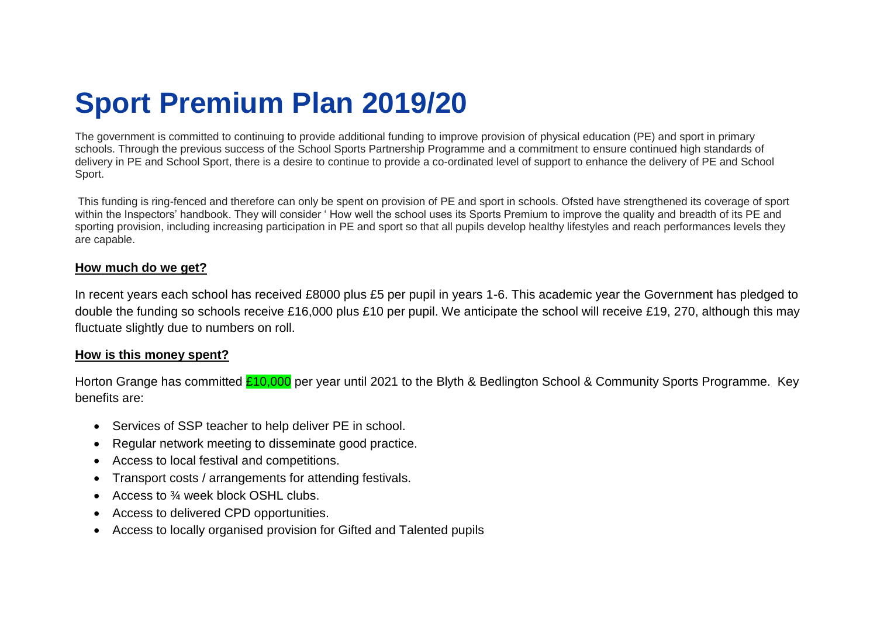## **Sport Premium Plan 2019/20**

The government is committed to continuing to provide additional funding to improve provision of physical education (PE) and sport in primary schools. Through the previous success of the School Sports Partnership Programme and a commitment to ensure continued high standards of delivery in PE and School Sport, there is a desire to continue to provide a co-ordinated level of support to enhance the delivery of PE and School Sport.

This funding is ring-fenced and therefore can only be spent on provision of PE and sport in schools. Ofsted have strengthened its coverage of sport within the Inspectors' handbook. They will consider ' How well the school uses its Sports Premium to improve the quality and breadth of its PE and sporting provision, including increasing participation in PE and sport so that all pupils develop healthy lifestyles and reach performances levels they are capable.

## **How much do we get?**

In recent years each school has received £8000 plus £5 per pupil in years 1-6. This academic year the Government has pledged to double the funding so schools receive £16,000 plus £10 per pupil. We anticipate the school will receive £19, 270, although this may fluctuate slightly due to numbers on roll.

## **How is this money spent?**

Horton Grange has committed £10,000 per year until 2021 to the Blyth & Bedlington School & Community Sports Programme. Key benefits are:

- Services of SSP teacher to help deliver PE in school.
- Regular network meeting to disseminate good practice.
- Access to local festival and competitions.
- Transport costs / arrangements for attending festivals.
- Access to  $\frac{3}{4}$  week block OSHL clubs.
- Access to delivered CPD opportunities.
- Access to locally organised provision for Gifted and Talented pupils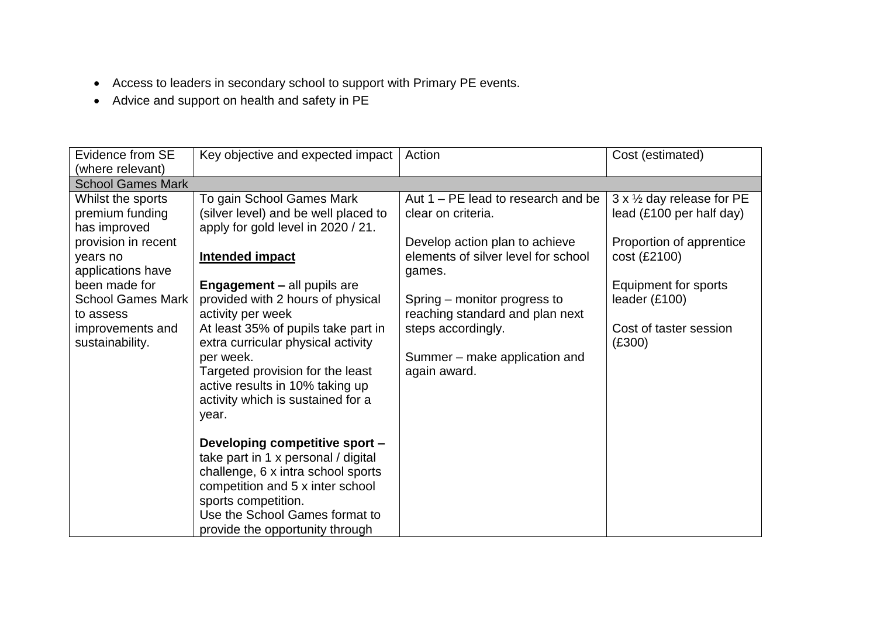- Access to leaders in secondary school to support with Primary PE events.
- Advice and support on health and safety in PE

| Evidence from SE         | Key objective and expected impact                                   | Action                                        | Cost (estimated)                          |
|--------------------------|---------------------------------------------------------------------|-----------------------------------------------|-------------------------------------------|
| (where relevant)         |                                                                     |                                               |                                           |
| <b>School Games Mark</b> |                                                                     |                                               |                                           |
| Whilst the sports        | To gain School Games Mark                                           | Aut $1 - PE$ lead to research and be          | $3 \times \frac{1}{2}$ day release for PE |
| premium funding          | (silver level) and be well placed to                                | clear on criteria.                            | lead $(E100$ per half day)                |
| has improved             | apply for gold level in 2020 / 21.                                  |                                               |                                           |
| provision in recent      |                                                                     | Develop action plan to achieve                | Proportion of apprentice                  |
| years no                 | <b>Intended impact</b>                                              | elements of silver level for school           | cost (£2100)                              |
| applications have        |                                                                     | games.                                        |                                           |
| been made for            | <b>Engagement - all pupils are</b>                                  |                                               | Equipment for sports                      |
| <b>School Games Mark</b> | provided with 2 hours of physical                                   | Spring – monitor progress to                  | leader (£100)                             |
| to assess                | activity per week                                                   | reaching standard and plan next               |                                           |
| improvements and         | At least 35% of pupils take part in                                 | steps accordingly.                            | Cost of taster session                    |
| sustainability.          | extra curricular physical activity                                  |                                               | (E300)                                    |
|                          | per week.                                                           | Summer – make application and<br>again award. |                                           |
|                          | Targeted provision for the least<br>active results in 10% taking up |                                               |                                           |
|                          | activity which is sustained for a                                   |                                               |                                           |
|                          | year.                                                               |                                               |                                           |
|                          |                                                                     |                                               |                                           |
|                          | Developing competitive sport -                                      |                                               |                                           |
|                          | take part in 1 x personal / digital                                 |                                               |                                           |
|                          | challenge, 6 x intra school sports                                  |                                               |                                           |
|                          | competition and 5 x inter school                                    |                                               |                                           |
|                          | sports competition.                                                 |                                               |                                           |
|                          | Use the School Games format to                                      |                                               |                                           |
|                          | provide the opportunity through                                     |                                               |                                           |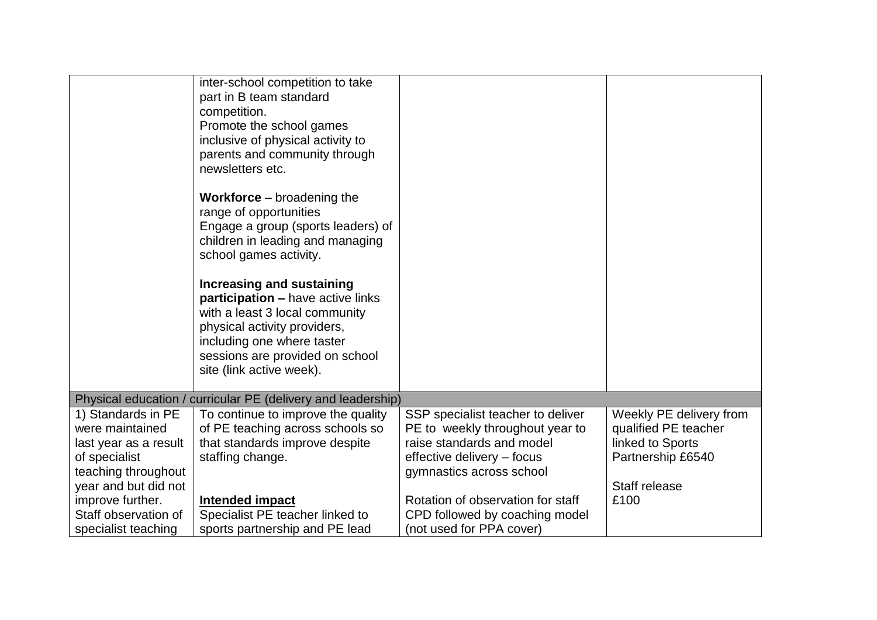|                                                                                                                                                                                                   | inter-school competition to take<br>part in B team standard<br>competition.<br>Promote the school games<br>inclusive of physical activity to<br>parents and community through<br>newsletters etc.<br><b>Workforce</b> – broadening the<br>range of opportunities<br>Engage a group (sports leaders) of<br>children in leading and managing<br>school games activity.<br><b>Increasing and sustaining</b><br>participation - have active links<br>with a least 3 local community<br>physical activity providers,<br>including one where taster<br>sessions are provided on school<br>site (link active week). |                                                                                                                                                                                                                                                                |                                                                                                                   |
|---------------------------------------------------------------------------------------------------------------------------------------------------------------------------------------------------|--------------------------------------------------------------------------------------------------------------------------------------------------------------------------------------------------------------------------------------------------------------------------------------------------------------------------------------------------------------------------------------------------------------------------------------------------------------------------------------------------------------------------------------------------------------------------------------------------------------|----------------------------------------------------------------------------------------------------------------------------------------------------------------------------------------------------------------------------------------------------------------|-------------------------------------------------------------------------------------------------------------------|
|                                                                                                                                                                                                   | Physical education / curricular PE (delivery and leadership)                                                                                                                                                                                                                                                                                                                                                                                                                                                                                                                                                 |                                                                                                                                                                                                                                                                |                                                                                                                   |
| 1) Standards in PE<br>were maintained<br>last year as a result<br>of specialist<br>teaching throughout<br>year and but did not<br>improve further.<br>Staff observation of<br>specialist teaching | To continue to improve the quality<br>of PE teaching across schools so<br>that standards improve despite<br>staffing change.<br>Intended impact<br>Specialist PE teacher linked to<br>sports partnership and PE lead                                                                                                                                                                                                                                                                                                                                                                                         | SSP specialist teacher to deliver<br>PE to weekly throughout year to<br>raise standards and model<br>effective delivery - focus<br>gymnastics across school<br>Rotation of observation for staff<br>CPD followed by coaching model<br>(not used for PPA cover) | Weekly PE delivery from<br>qualified PE teacher<br>linked to Sports<br>Partnership £6540<br>Staff release<br>£100 |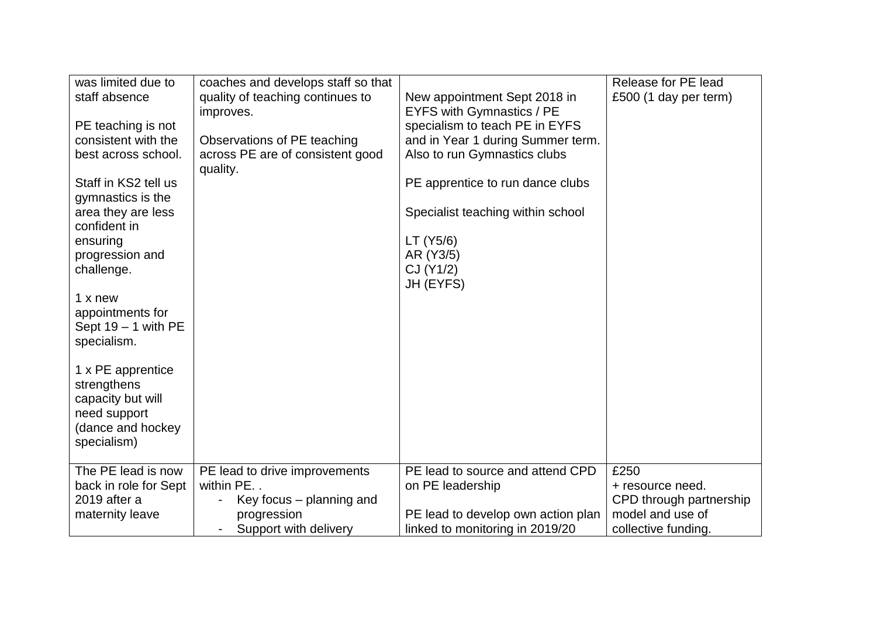| was limited due to<br>staff absence                     | coaches and develops staff so that<br>quality of teaching continues to<br>improves. | New appointment Sept 2018 in<br>EYFS with Gymnastics / PE             | Release for PE lead<br>£500 (1 day per term) |
|---------------------------------------------------------|-------------------------------------------------------------------------------------|-----------------------------------------------------------------------|----------------------------------------------|
| PE teaching is not                                      |                                                                                     | specialism to teach PE in EYFS                                        |                                              |
| consistent with the<br>best across school.              | Observations of PE teaching<br>across PE are of consistent good                     | and in Year 1 during Summer term.<br>Also to run Gymnastics clubs     |                                              |
|                                                         | quality.                                                                            |                                                                       |                                              |
| Staff in KS2 tell us                                    |                                                                                     | PE apprentice to run dance clubs                                      |                                              |
| gymnastics is the<br>area they are less<br>confident in |                                                                                     | Specialist teaching within school                                     |                                              |
| ensuring                                                |                                                                                     | LT (Y5/6)                                                             |                                              |
| progression and<br>challenge.                           |                                                                                     | AR (Y3/5)<br>CJ (Y1/2)                                                |                                              |
|                                                         |                                                                                     | JH (EYFS)                                                             |                                              |
| 1 x new<br>appointments for<br>Sept $19 - 1$ with PE    |                                                                                     |                                                                       |                                              |
| specialism.                                             |                                                                                     |                                                                       |                                              |
| 1 x PE apprentice<br>strengthens<br>capacity but will   |                                                                                     |                                                                       |                                              |
| need support                                            |                                                                                     |                                                                       |                                              |
| (dance and hockey<br>specialism)                        |                                                                                     |                                                                       |                                              |
| The PE lead is now                                      | PE lead to drive improvements                                                       | PE lead to source and attend CPD                                      | £250                                         |
| back in role for Sept                                   | within PE                                                                           | on PE leadership                                                      | + resource need.                             |
| 2019 after a                                            | Key focus – planning and                                                            |                                                                       | CPD through partnership                      |
| maternity leave                                         | progression<br>Support with delivery                                                | PE lead to develop own action plan<br>linked to monitoring in 2019/20 | model and use of<br>collective funding.      |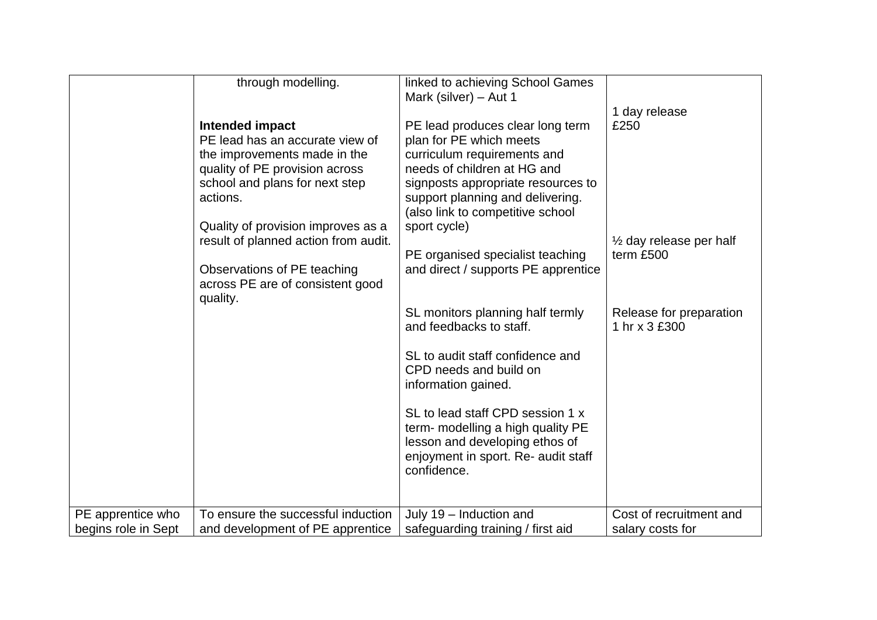|                     | through modelling.<br>Intended impact<br>PE lead has an accurate view of<br>the improvements made in the<br>quality of PE provision across<br>school and plans for next step<br>actions.<br>Quality of provision improves as a<br>result of planned action from audit.<br>Observations of PE teaching<br>across PE are of consistent good<br>quality. | linked to achieving School Games<br>Mark (silver) - Aut 1<br>PE lead produces clear long term<br>plan for PE which meets<br>curriculum requirements and<br>needs of children at HG and<br>signposts appropriate resources to<br>support planning and delivering.<br>(also link to competitive school<br>sport cycle)<br>PE organised specialist teaching<br>and direct / supports PE apprentice<br>SL monitors planning half termly<br>and feedbacks to staff.<br>SL to audit staff confidence and<br>CPD needs and build on<br>information gained.<br>SL to lead staff CPD session 1 x<br>term- modelling a high quality PE<br>lesson and developing ethos of<br>enjoyment in sport. Re- audit staff<br>confidence. | 1 day release<br>£250<br>$\frac{1}{2}$ day release per half<br>term £500<br>Release for preparation<br>1 hr x 3 £300 |
|---------------------|-------------------------------------------------------------------------------------------------------------------------------------------------------------------------------------------------------------------------------------------------------------------------------------------------------------------------------------------------------|----------------------------------------------------------------------------------------------------------------------------------------------------------------------------------------------------------------------------------------------------------------------------------------------------------------------------------------------------------------------------------------------------------------------------------------------------------------------------------------------------------------------------------------------------------------------------------------------------------------------------------------------------------------------------------------------------------------------|----------------------------------------------------------------------------------------------------------------------|
| PE apprentice who   | To ensure the successful induction                                                                                                                                                                                                                                                                                                                    | July 19 - Induction and                                                                                                                                                                                                                                                                                                                                                                                                                                                                                                                                                                                                                                                                                              | Cost of recruitment and                                                                                              |
| begins role in Sept | and development of PE apprentice                                                                                                                                                                                                                                                                                                                      | safeguarding training / first aid                                                                                                                                                                                                                                                                                                                                                                                                                                                                                                                                                                                                                                                                                    | salary costs for                                                                                                     |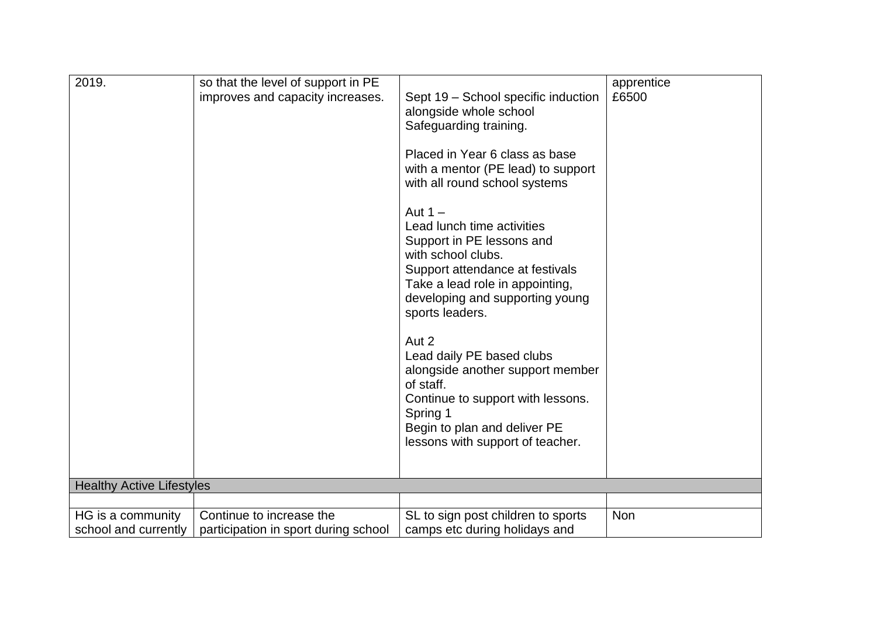| 2019.                                     | so that the level of support in PE                               |                                                                                                                                                                                                                        | apprentice |
|-------------------------------------------|------------------------------------------------------------------|------------------------------------------------------------------------------------------------------------------------------------------------------------------------------------------------------------------------|------------|
|                                           | improves and capacity increases.                                 | Sept 19 - School specific induction<br>alongside whole school<br>Safeguarding training.                                                                                                                                | £6500      |
|                                           |                                                                  | Placed in Year 6 class as base<br>with a mentor (PE lead) to support<br>with all round school systems                                                                                                                  |            |
|                                           |                                                                  | Aut $1 -$<br>Lead lunch time activities<br>Support in PE lessons and<br>with school clubs.<br>Support attendance at festivals<br>Take a lead role in appointing,<br>developing and supporting young<br>sports leaders. |            |
|                                           |                                                                  | Aut 2<br>Lead daily PE based clubs<br>alongside another support member<br>of staff.<br>Continue to support with lessons.<br>Spring 1<br>Begin to plan and deliver PE<br>lessons with support of teacher.               |            |
| <b>Healthy Active Lifestyles</b>          |                                                                  |                                                                                                                                                                                                                        |            |
|                                           |                                                                  |                                                                                                                                                                                                                        |            |
| HG is a community<br>school and currently | Continue to increase the<br>participation in sport during school | SL to sign post children to sports<br>camps etc during holidays and                                                                                                                                                    | Non        |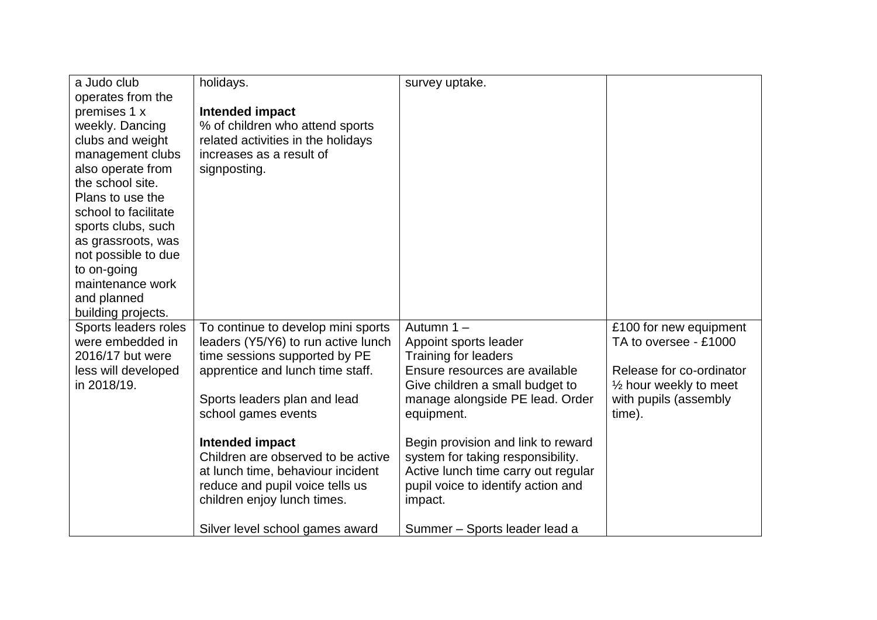| a Judo club          | holidays.                           | survey uptake.                      |                                   |
|----------------------|-------------------------------------|-------------------------------------|-----------------------------------|
| operates from the    |                                     |                                     |                                   |
| premises 1 x         | Intended impact                     |                                     |                                   |
| weekly. Dancing      | % of children who attend sports     |                                     |                                   |
| clubs and weight     | related activities in the holidays  |                                     |                                   |
| management clubs     | increases as a result of            |                                     |                                   |
| also operate from    | signposting.                        |                                     |                                   |
| the school site.     |                                     |                                     |                                   |
| Plans to use the     |                                     |                                     |                                   |
| school to facilitate |                                     |                                     |                                   |
| sports clubs, such   |                                     |                                     |                                   |
| as grassroots, was   |                                     |                                     |                                   |
| not possible to due  |                                     |                                     |                                   |
| to on-going          |                                     |                                     |                                   |
| maintenance work     |                                     |                                     |                                   |
| and planned          |                                     |                                     |                                   |
| building projects.   |                                     |                                     |                                   |
| Sports leaders roles | To continue to develop mini sports  | Autumn 1-                           | £100 for new equipment            |
| were embedded in     | leaders (Y5/Y6) to run active lunch | Appoint sports leader               | TA to oversee - £1000             |
| 2016/17 but were     | time sessions supported by PE       | <b>Training for leaders</b>         |                                   |
| less will developed  | apprentice and lunch time staff.    | Ensure resources are available      | Release for co-ordinator          |
| in 2018/19.          |                                     | Give children a small budget to     | $\frac{1}{2}$ hour weekly to meet |
|                      | Sports leaders plan and lead        | manage alongside PE lead. Order     | with pupils (assembly             |
|                      | school games events                 | equipment.                          | time).                            |
|                      | Intended impact                     | Begin provision and link to reward  |                                   |
|                      | Children are observed to be active  | system for taking responsibility.   |                                   |
|                      | at lunch time, behaviour incident   | Active lunch time carry out regular |                                   |
|                      | reduce and pupil voice tells us     | pupil voice to identify action and  |                                   |
|                      | children enjoy lunch times.         | impact.                             |                                   |
|                      |                                     |                                     |                                   |
|                      | Silver level school games award     | Summer - Sports leader lead a       |                                   |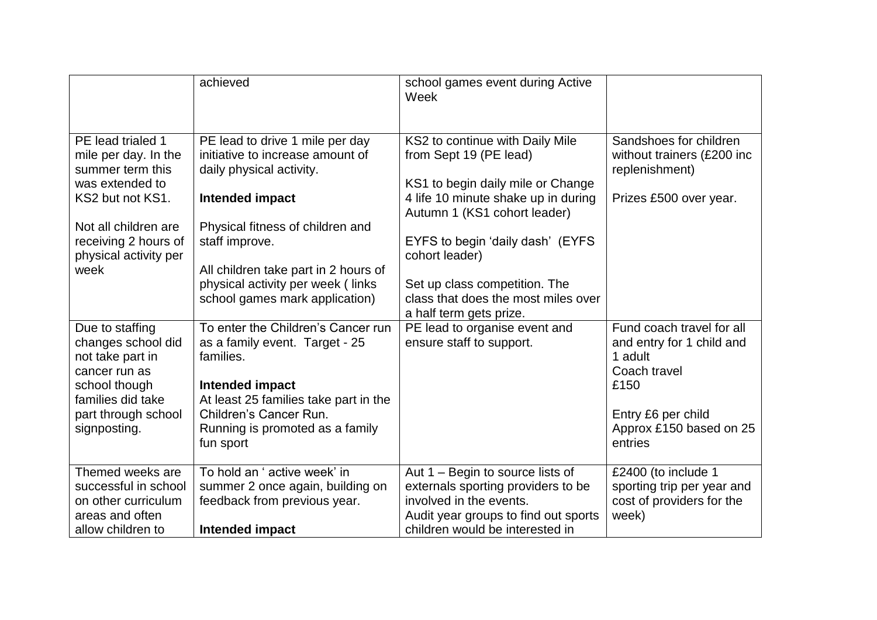|                                                                                                                                                                                       | achieved                                                                                                                                                                                                                                                                                | school games event during Active<br>Week                                                                                                                                                                                                                                                            |                                                                                                                                                       |
|---------------------------------------------------------------------------------------------------------------------------------------------------------------------------------------|-----------------------------------------------------------------------------------------------------------------------------------------------------------------------------------------------------------------------------------------------------------------------------------------|-----------------------------------------------------------------------------------------------------------------------------------------------------------------------------------------------------------------------------------------------------------------------------------------------------|-------------------------------------------------------------------------------------------------------------------------------------------------------|
| PE lead trialed 1<br>mile per day. In the<br>summer term this<br>was extended to<br>KS2 but not KS1.<br>Not all children are<br>receiving 2 hours of<br>physical activity per<br>week | PE lead to drive 1 mile per day<br>initiative to increase amount of<br>daily physical activity.<br>Intended impact<br>Physical fitness of children and<br>staff improve.<br>All children take part in 2 hours of<br>physical activity per week (links<br>school games mark application) | KS2 to continue with Daily Mile<br>from Sept 19 (PE lead)<br>KS1 to begin daily mile or Change<br>4 life 10 minute shake up in during<br>Autumn 1 (KS1 cohort leader)<br>EYFS to begin 'daily dash' (EYFS<br>cohort leader)<br>Set up class competition. The<br>class that does the most miles over | Sandshoes for children<br>without trainers (£200 inc<br>replenishment)<br>Prizes £500 over year.                                                      |
| Due to staffing<br>changes school did<br>not take part in<br>cancer run as<br>school though<br>families did take<br>part through school<br>signposting.                               | To enter the Children's Cancer run<br>as a family event. Target - 25<br>families.<br>Intended impact<br>At least 25 families take part in the<br>Children's Cancer Run.<br>Running is promoted as a family<br>fun sport                                                                 | a half term gets prize.<br>PE lead to organise event and<br>ensure staff to support.                                                                                                                                                                                                                | Fund coach travel for all<br>and entry for 1 child and<br>1 adult<br>Coach travel<br>£150<br>Entry £6 per child<br>Approx £150 based on 25<br>entries |
| Themed weeks are<br>successful in school<br>on other curriculum<br>areas and often<br>allow children to                                                                               | To hold an ' active week' in<br>summer 2 once again, building on<br>feedback from previous year.<br>Intended impact                                                                                                                                                                     | Aut 1 – Begin to source lists of<br>externals sporting providers to be<br>involved in the events.<br>Audit year groups to find out sports<br>children would be interested in                                                                                                                        | £2400 (to include 1<br>sporting trip per year and<br>cost of providers for the<br>week)                                                               |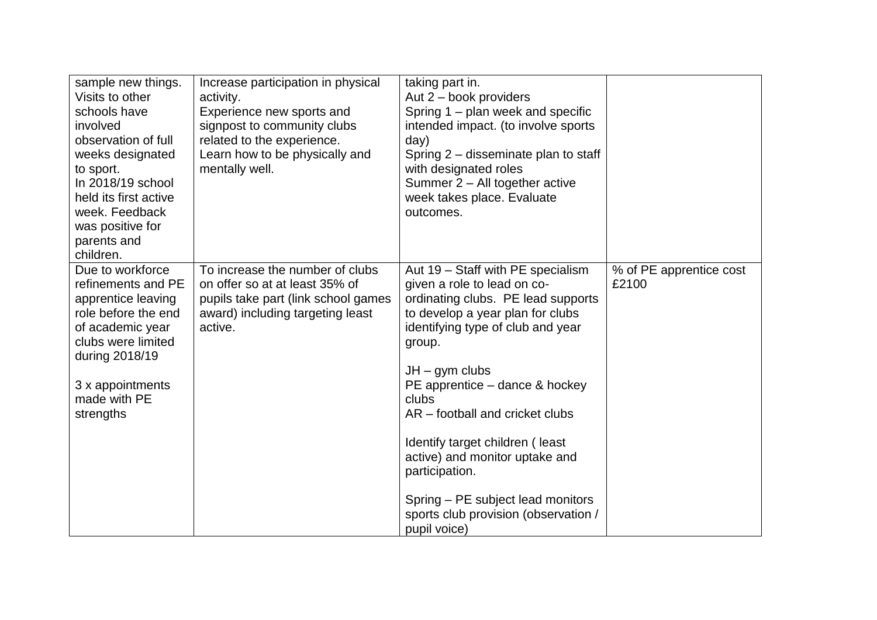| sample new things.<br>Visits to other<br>schools have<br>involved<br>observation of full<br>weeks designated<br>to sport.<br>In 2018/19 school<br>held its first active<br>week. Feedback<br>was positive for<br>parents and<br>children. | Increase participation in physical<br>activity.<br>Experience new sports and<br>signpost to community clubs<br>related to the experience.<br>Learn how to be physically and<br>mentally well. | taking part in.<br>Aut 2 - book providers<br>Spring 1 – plan week and specific<br>intended impact. (to involve sports<br>day)<br>Spring 2 – disseminate plan to staff<br>with designated roles<br>Summer 2 - All together active<br>week takes place. Evaluate<br>outcomes.                                                                                                                                                                                                     |                                  |
|-------------------------------------------------------------------------------------------------------------------------------------------------------------------------------------------------------------------------------------------|-----------------------------------------------------------------------------------------------------------------------------------------------------------------------------------------------|---------------------------------------------------------------------------------------------------------------------------------------------------------------------------------------------------------------------------------------------------------------------------------------------------------------------------------------------------------------------------------------------------------------------------------------------------------------------------------|----------------------------------|
| Due to workforce<br>refinements and PE<br>apprentice leaving<br>role before the end<br>of academic year<br>clubs were limited<br>during 2018/19<br>3 x appointments<br>made with PE<br>strengths                                          | To increase the number of clubs<br>on offer so at at least 35% of<br>pupils take part (link school games<br>award) including targeting least<br>active.                                       | Aut 19 - Staff with PE specialism<br>given a role to lead on co-<br>ordinating clubs. PE lead supports<br>to develop a year plan for clubs<br>identifying type of club and year<br>group.<br>$JH - gym$ clubs<br>PE apprentice – dance & hockey<br>clubs<br>AR – football and cricket clubs<br>Identify target children (least<br>active) and monitor uptake and<br>participation.<br>Spring – PE subject lead monitors<br>sports club provision (observation /<br>pupil voice) | % of PE apprentice cost<br>£2100 |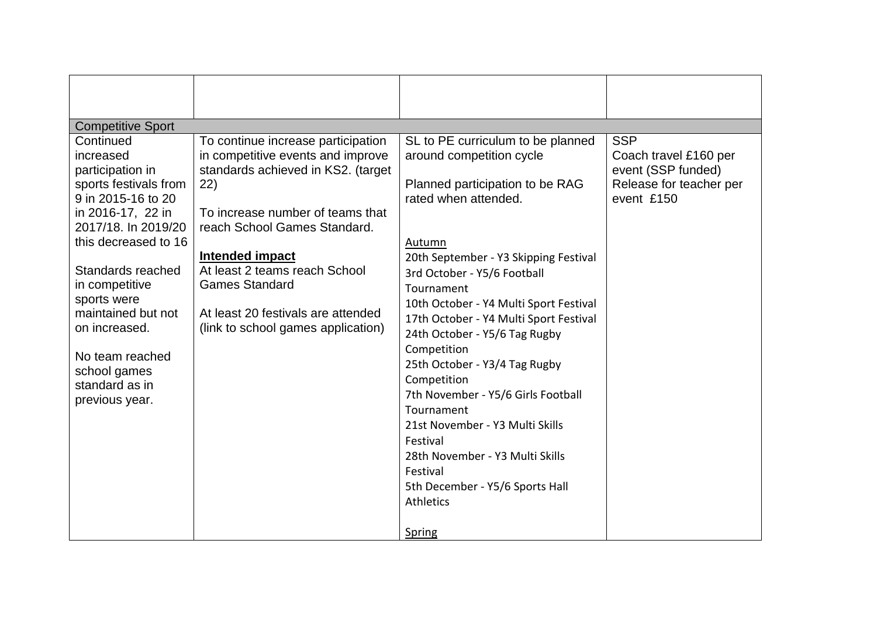| <b>Competitive Sport</b>                    |                                    |                                                         |                                       |
|---------------------------------------------|------------------------------------|---------------------------------------------------------|---------------------------------------|
| Continued                                   | To continue increase participation | SL to PE curriculum to be planned                       | <b>SSP</b>                            |
| increased                                   | in competitive events and improve  | around competition cycle                                | Coach travel £160 per                 |
| participation in                            | standards achieved in KS2. (target |                                                         | event (SSP funded)                    |
| sports festivals from<br>9 in 2015-16 to 20 | (22)                               | Planned participation to be RAG<br>rated when attended. | Release for teacher per<br>event £150 |
| in 2016-17, 22 in                           | To increase number of teams that   |                                                         |                                       |
| 2017/18. In 2019/20                         | reach School Games Standard.       |                                                         |                                       |
| this decreased to 16                        |                                    | Autumn                                                  |                                       |
|                                             | Intended impact                    | 20th September - Y3 Skipping Festival                   |                                       |
| Standards reached                           | At least 2 teams reach School      | 3rd October - Y5/6 Football                             |                                       |
| in competitive                              | <b>Games Standard</b>              | Tournament                                              |                                       |
| sports were                                 |                                    | 10th October - Y4 Multi Sport Festival                  |                                       |
| maintained but not                          | At least 20 festivals are attended | 17th October - Y4 Multi Sport Festival                  |                                       |
| on increased.                               | (link to school games application) | 24th October - Y5/6 Tag Rugby                           |                                       |
|                                             |                                    | Competition                                             |                                       |
| No team reached                             |                                    | 25th October - Y3/4 Tag Rugby                           |                                       |
| school games                                |                                    | Competition                                             |                                       |
| standard as in                              |                                    | 7th November - Y5/6 Girls Football                      |                                       |
| previous year.                              |                                    | Tournament                                              |                                       |
|                                             |                                    | 21st November - Y3 Multi Skills                         |                                       |
|                                             |                                    | Festival                                                |                                       |
|                                             |                                    | 28th November - Y3 Multi Skills                         |                                       |
|                                             |                                    | Festival                                                |                                       |
|                                             |                                    | 5th December - Y5/6 Sports Hall                         |                                       |
|                                             |                                    | Athletics                                               |                                       |
|                                             |                                    | Spring                                                  |                                       |